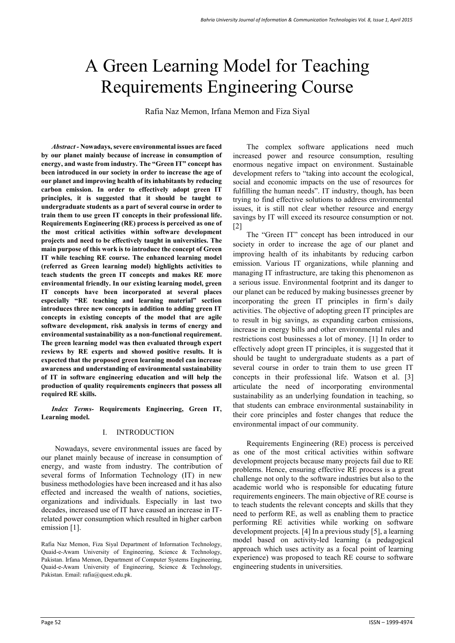# A Green Learning Model for Teaching Requirements Engineering Course

Rafia Naz Memon, Irfana Memon and Fiza Siyal

*Abstract -* **Nowadays, severe environmental issues are faced by our planet mainly because of increase in consumption of energy, and waste from industry. The "Green IT" concept has been introduced in our society in order to increase the age of our planet and improving health of its inhabitants by reducing carbon emission. In order to effectively adopt green IT principles, it is suggested that it should be taught to undergraduate students as a part of several course in order to train them to use green IT concepts in their professional life. Requirements Engineering (RE) process is perceived as one of the most critical activities within software development projects and need to be effectively taught in universities. The main purpose of this work is to introduce the concept of Green IT while teaching RE course. The enhanced learning model (referred as Green learning model) highlights activities to teach students the green IT concepts and makes RE more environmental friendly. In our existing learning model, green IT concepts have been incorporated at several places especially "RE teaching and learning material" section introduces three new concepts in addition to adding green IT concepts in existing concepts of the model that are agile software development, risk analysis in terms of energy and environmental sustainability as a non-functional requirement. The green learning model was then evaluated through expert reviews by RE experts and showed positive results. It is expected that the proposed green learning model can increase awareness and understanding of environmental sustainability of IT in software engineering education and will help the production of quality requirements engineers that possess all required RE skills.** 

*Index Terms-* **Requirements Engineering, Green IT, Learning model.** 

#### I. INTRODUCTION

Nowadays, severe environmental issues are faced by our planet mainly because of increase in consumption of energy, and waste from industry. The contribution of several forms of Information Technology (IT) in new business methodologies have been increased and it has also effected and increased the wealth of nations, societies, organizations and individuals. Especially in last two decades, increased use of IT have caused an increase in ITrelated power consumption which resulted in higher carbon emission [1].

Rafia Naz Memon, Fiza Siyal Department of Information Technology, Quaid-e-Awam University of Engineering, Science & Technology, Pakistan. Irfana Memon, Department of Computer Systems Engineering, Quaid-e-Awam University of Engineering, Science & Technology, Pakistan. Email: rafia@quest.edu.pk.

The complex software applications need much increased power and resource consumption, resulting enormous negative impact on environment. Sustainable development refers to "taking into account the ecological, social and economic impacts on the use of resources for fulfilling the human needs". IT industry, though, has been trying to find effective solutions to address environmental issues, it is still not clear whether resource and energy savings by IT will exceed its resource consumption or not. [2]

The "Green IT" concept has been introduced in our society in order to increase the age of our planet and improving health of its inhabitants by reducing carbon emission. Various IT organizations, while planning and managing IT infrastructure, are taking this phenomenon as a serious issue. Environmental footprint and its danger to our planet can be reduced by making businesses greener by incorporating the green IT principles in firm's daily activities. The objective of adopting green IT principles are to result in big savings, as expanding carbon emissions, increase in energy bills and other environmental rules and restrictions cost businesses a lot of money. [1] In order to effectively adopt green IT principles, it is suggested that it should be taught to undergraduate students as a part of several course in order to train them to use green IT concepts in their professional life. Watson et al. [3] articulate the need of incorporating environmental sustainability as an underlying foundation in teaching, so that students can embrace environmental sustainability in their core principles and foster changes that reduce the environmental impact of our community.

Requirements Engineering (RE) process is perceived as one of the most critical activities within software development projects because many projects fail due to RE problems. Hence, ensuring effective RE process is a great challenge not only to the software industries but also to the academic world who is responsible for educating future requirements engineers. The main objective of RE course is to teach students the relevant concepts and skills that they need to perform RE, as well as enabling them to practice performing RE activities while working on software development projects. [4] In a previous study [5], a learning model based on activity-led learning (a pedagogical approach which uses activity as a focal point of learning experience) was proposed to teach RE course to software engineering students in universities.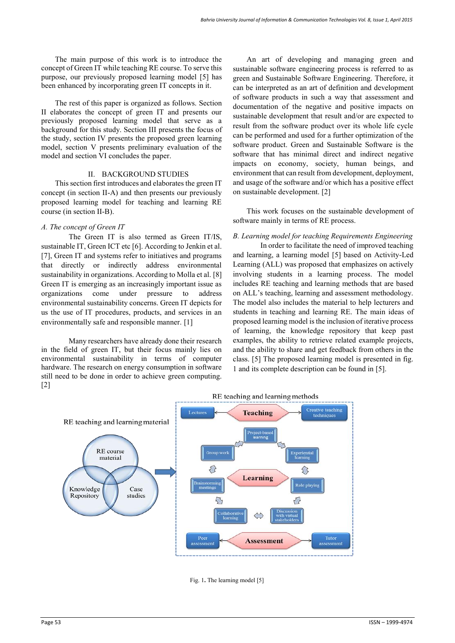The main purpose of this work is to introduce the concept of Green IT while teaching RE course. To serve this purpose, our previously proposed learning model [5] has been enhanced by incorporating green IT concepts in it.

The rest of this paper is organized as follows. Section II elaborates the concept of green IT and presents our previously proposed learning model that serve as a background for this study. Section III presents the focus of the study, section IV presents the proposed green learning model, section V presents preliminary evaluation of the model and section VI concludes the paper.

#### II. BACKGROUND STUDIES

This section first introduces and elaborates the green IT concept (in section II-A) and then presents our previously proposed learning model for teaching and learning RE course (in section II-B).

## *A. The concept of Green IT*

The Green IT is also termed as Green IT/IS, sustainable IT, Green ICT etc [6]. According to Jenkin et al. [7], Green IT and systems refer to initiatives and programs that directly or indirectly address environmental sustainability in organizations. According to Molla et al. [8] Green IT is emerging as an increasingly important issue as organizations come under pressure to address environmental sustainability concerns. Green IT depicts for us the use of IT procedures, products, and services in an environmentally safe and responsible manner. [1]

Many researchers have already done their research in the field of green IT, but their focus mainly lies on environmental sustainability in terms of computer hardware. The research on energy consumption in software still need to be done in order to achieve green computing. [2]

An art of developing and managing green and sustainable software engineering process is referred to as green and Sustainable Software Engineering. Therefore, it can be interpreted as an art of definition and development of software products in such a way that assessment and documentation of the negative and positive impacts on sustainable development that result and/or are expected to result from the software product over its whole life cycle can be performed and used for a further optimization of the software product. Green and Sustainable Software is the software that has minimal direct and indirect negative impacts on economy, society, human beings, and environment that can result from development, deployment, and usage of the software and/or which has a positive effect on sustainable development. [2]

This work focuses on the sustainable development of software mainly in terms of RE process.

## *B. Learning model for teaching Requirements Engineering*

In order to facilitate the need of improved teaching and learning, a learning model [5] based on Activity-Led Learning (ALL) was proposed that emphasizes on actively involving students in a learning process. The model includes RE teaching and learning methods that are based on ALL's teaching, learning and assessment methodology. The model also includes the material to help lecturers and students in teaching and learning RE. The main ideas of proposed learning model is the inclusion of iterative process of learning, the knowledge repository that keep past examples, the ability to retrieve related example projects, and the ability to share and get feedback from others in the class. [5] The proposed learning model is presented in fig. 1 and its complete description can be found in [5].



Fig. 1**.** The learning model [5]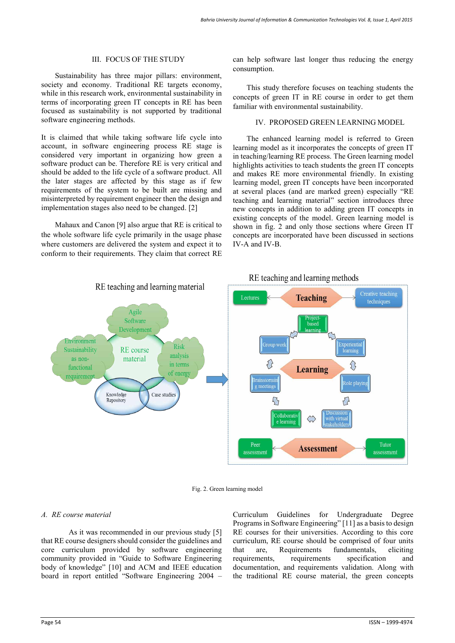#### III. FOCUS OF THE STUDY

Sustainability has three major pillars: environment, society and economy. Traditional RE targets economy, while in this research work, environmental sustainability in terms of incorporating green IT concepts in RE has been focused as sustainability is not supported by traditional software engineering methods.

It is claimed that while taking software life cycle into account, in software engineering process RE stage is considered very important in organizing how green a software product can be. Therefore RE is very critical and should be added to the life cycle of a software product. All the later stages are affected by this stage as if few requirements of the system to be built are missing and misinterpreted by requirement engineer then the design and implementation stages also need to be changed. [2]

Mahaux and Canon [9] also argue that RE is critical to the whole software life cycle primarily in the usage phase where customers are delivered the system and expect it to conform to their requirements. They claim that correct RE can help software last longer thus reducing the energy consumption.

This study therefore focuses on teaching students the concepts of green IT in RE course in order to get them familiar with environmental sustainability.

## IV. PROPOSED GREEN LEARNING MODEL

The enhanced learning model is referred to Green learning model as it incorporates the concepts of green IT in teaching/learning RE process. The Green learning model highlights activities to teach students the green IT concepts and makes RE more environmental friendly. In existing learning model, green IT concepts have been incorporated at several places (and are marked green) especially "RE teaching and learning material" section introduces three new concepts in addition to adding green IT concepts in existing concepts of the model. Green learning model is shown in fig. 2 and only those sections where Green IT concepts are incorporated have been discussed in sections IV-A and IV-B.



Fig. 2. Green learning model

## *A. RE course material*

As it was recommended in our previous study [5] that RE course designers should consider the guidelines and core curriculum provided by software engineering community provided in "Guide to Software Engineering body of knowledge" [10] and ACM and IEEE education board in report entitled "Software Engineering 2004 – Curriculum Guidelines for Undergraduate Degree Programs in Software Engineering" [11] as a basis to design RE courses for their universities. According to this core curriculum, RE course should be comprised of four units that are, Requirements fundamentals, eliciting requirements, requirements specification and documentation, and requirements validation. Along with the traditional RE course material, the green concepts

## RE teaching and learning methods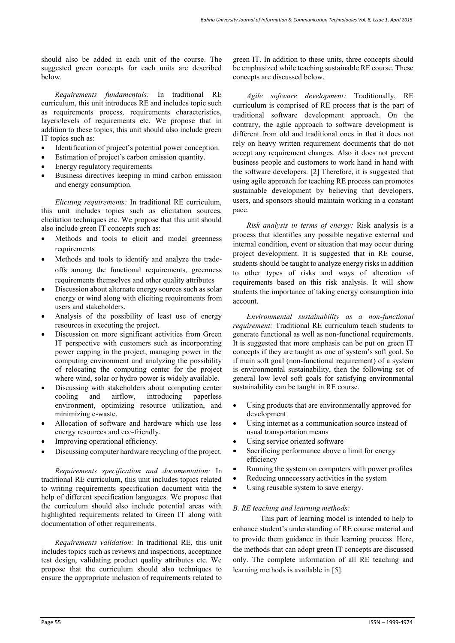should also be added in each unit of the course. The suggested green concepts for each units are described below.

*Requirements fundamentals:* In traditional RE curriculum, this unit introduces RE and includes topic such as requirements process, requirements characteristics, layers/levels of requirements etc. We propose that in addition to these topics, this unit should also include green IT topics such as:

- Identification of project's potential power conception.
- Estimation of project's carbon emission quantity.
- Energy regulatory requirements
- Business directives keeping in mind carbon emission and energy consumption.

*Eliciting requirements:* In traditional RE curriculum, this unit includes topics such as elicitation sources, elicitation techniques etc. We propose that this unit should also include green IT concepts such as:

- Methods and tools to elicit and model greenness requirements
- Methods and tools to identify and analyze the tradeoffs among the functional requirements, greenness requirements themselves and other quality attributes
- Discussion about alternate energy sources such as solar energy or wind along with eliciting requirements from users and stakeholders.
- Analysis of the possibility of least use of energy resources in executing the project.
- Discussion on more significant activities from Green IT perspective with customers such as incorporating power capping in the project, managing power in the computing environment and analyzing the possibility of relocating the computing center for the project where wind, solar or hydro power is widely available.
- Discussing with stakeholders about computing center cooling and airflow, introducing paperless environment, optimizing resource utilization, and minimizing e-waste.
- Allocation of software and hardware which use less energy resources and eco-friendly.
- Improving operational efficiency.
- Discussing computer hardware recycling of the project.

*Requirements specification and documentation:* In traditional RE curriculum, this unit includes topics related to writing requirements specification document with the help of different specification languages. We propose that the curriculum should also include potential areas with highlighted requirements related to Green IT along with documentation of other requirements.

*Requirements validation:* In traditional RE, this unit includes topics such as reviews and inspections, acceptance test design, validating product quality attributes etc. We propose that the curriculum should also techniques to ensure the appropriate inclusion of requirements related to green IT. In addition to these units, three concepts should be emphasized while teaching sustainable RE course. These concepts are discussed below.

*Agile software development:* Traditionally, RE curriculum is comprised of RE process that is the part of traditional software development approach. On the contrary, the agile approach to software development is different from old and traditional ones in that it does not rely on heavy written requirement documents that do not accept any requirement changes. Also it does not prevent business people and customers to work hand in hand with the software developers. [2] Therefore, it is suggested that using agile approach for teaching RE process can promotes sustainable development by believing that developers, users, and sponsors should maintain working in a constant pace.

*Risk analysis in terms of energy:* Risk analysis is a process that identifies any possible negative external and internal condition, event or situation that may occur during project development. It is suggested that in RE course, students should be taught to analyze energy risks in addition to other types of risks and ways of alteration of requirements based on this risk analysis. It will show students the importance of taking energy consumption into account.

*Environmental sustainability as a non-functional requirement:* Traditional RE curriculum teach students to generate functional as well as non-functional requirements. It is suggested that more emphasis can be put on green IT concepts if they are taught as one of system's soft goal. So if main soft goal (non-functional requirement) of a system is environmental sustainability, then the following set of general low level soft goals for satisfying environmental sustainability can be taught in RE course.

- Using products that are environmentally approved for development
- Using internet as a communication source instead of usual transportation means
- Using service oriented software
- Sacrificing performance above a limit for energy efficiency
- Running the system on computers with power profiles
- Reducing unnecessary activities in the system
- Using reusable system to save energy.

## *B. RE teaching and learning methods:*

This part of learning model is intended to help to enhance student's understanding of RE course material and to provide them guidance in their learning process. Here, the methods that can adopt green IT concepts are discussed only. The complete information of all RE teaching and learning methods is available in [5].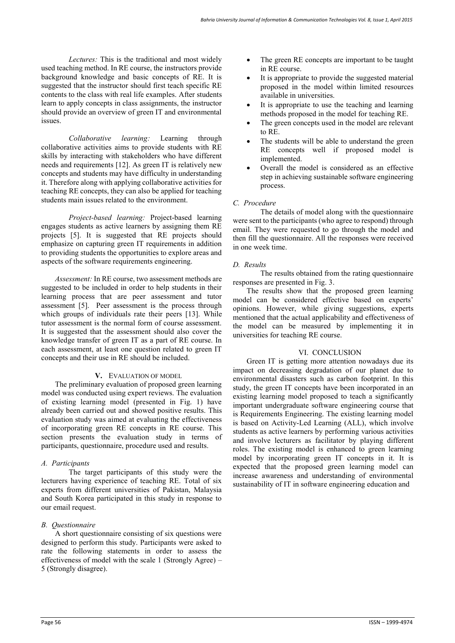*Lectures:* This is the traditional and most widely used teaching method. In RE course, the instructors provide background knowledge and basic concepts of RE. It is suggested that the instructor should first teach specific RE contents to the class with real life examples. After students learn to apply concepts in class assignments, the instructor should provide an overview of green IT and environmental issues.

*Collaborative learning:* Learning through collaborative activities aims to provide students with RE skills by interacting with stakeholders who have different needs and requirements [12]. As green IT is relatively new concepts and students may have difficulty in understanding it. Therefore along with applying collaborative activities for teaching RE concepts, they can also be applied for teaching students main issues related to the environment.

*Project-based learning:* Project-based learning engages students as active learners by assigning them RE projects [5]. It is suggested that RE projects should emphasize on capturing green IT requirements in addition to providing students the opportunities to explore areas and aspects of the software requirements engineering.

*Assessment:* In RE course, two assessment methods are suggested to be included in order to help students in their learning process that are peer assessment and tutor assessment [5]. Peer assessment is the process through which groups of individuals rate their peers [13]. While tutor assessment is the normal form of course assessment. It is suggested that the assessment should also cover the knowledge transfer of green IT as a part of RE course. In each assessment, at least one question related to green IT concepts and their use in RE should be included.

## **V.** EVALUATION OF MODEL

The preliminary evaluation of proposed green learning model was conducted using expert reviews. The evaluation of existing learning model (presented in Fig. 1) have already been carried out and showed positive results. This evaluation study was aimed at evaluating the effectiveness of incorporating green RE concepts in RE course. This section presents the evaluation study in terms of participants, questionnaire, procedure used and results.

#### *A. Participants*

The target participants of this study were the lecturers having experience of teaching RE. Total of six experts from different universities of Pakistan, Malaysia and South Korea participated in this study in response to our email request.

## *B. Questionnaire*

A short questionnaire consisting of six questions were designed to perform this study. Participants were asked to rate the following statements in order to assess the effectiveness of model with the scale 1 (Strongly Agree) – 5 (Strongly disagree).

- The green RE concepts are important to be taught in RE course.
- It is appropriate to provide the suggested material proposed in the model within limited resources available in universities.
- It is appropriate to use the teaching and learning methods proposed in the model for teaching RE.
- The green concepts used in the model are relevant to RE.
- The students will be able to understand the green RE concepts well if proposed model is implemented.
- Overall the model is considered as an effective step in achieving sustainable software engineering process.

## *C. Procedure*

The details of model along with the questionnaire were sent to the participants (who agree to respond) through email. They were requested to go through the model and then fill the questionnaire. All the responses were received in one week time.

## *D. Results*

The results obtained from the rating questionnaire responses are presented in Fig. 3.

The results show that the proposed green learning model can be considered effective based on experts' opinions. However, while giving suggestions, experts mentioned that the actual applicability and effectiveness of the model can be measured by implementing it in universities for teaching RE course.

#### VI. CONCLUSION

Green IT is getting more attention nowadays due its impact on decreasing degradation of our planet due to environmental disasters such as carbon footprint. In this study, the green IT concepts have been incorporated in an existing learning model proposed to teach a significantly important undergraduate software engineering course that is Requirements Engineering. The existing learning model is based on Activity-Led Learning (ALL), which involve students as active learners by performing various activities and involve lecturers as facilitator by playing different roles. The existing model is enhanced to green learning model by incorporating green IT concepts in it. It is expected that the proposed green learning model can increase awareness and understanding of environmental sustainability of IT in software engineering education and